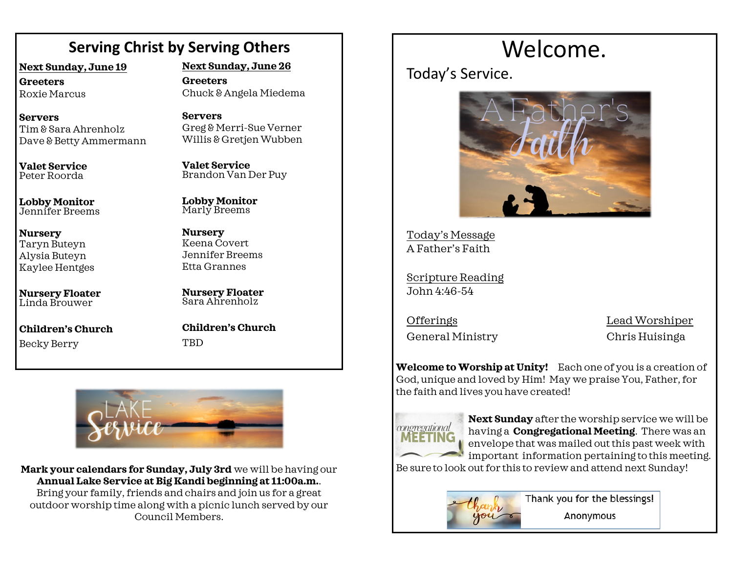# **Serving Christ by Serving Others**

**Next Sunday, June 19**

**Greeters** Roxie Marcus

**Servers** Tim & Sara Ahrenholz Dave & Betty Ammermann

**Valet Service** Peter Roorda

**Lobby Monitor** Jennifer Breems

**Nursery** Taryn Buteyn Alysia Buteyn Kaylee Hentges

**Nursery Floater** Linda Brouwer

**Children's Church**  Becky Berry

**Next Sunday, June 26**

**Greeters** Chuck & Angela Miedema

**Servers** Greg & Merri-Sue Verner Willis & Gretjen Wubben

**Valet Service** Brandon Van Der Puy

**Lobby Monitor** Marly Breems

**Nursery** Keena Covert Jennifer Breems Etta Grannes

**Nursery Floater** Sara Ahrenholz

**Children's Church TRD** 



**Mark your calendars for Sunday, July 3rd** we will be having our **Annual Lake Service at Big Kandi beginning at 11:00a.m.**. Bring your family, friends and chairs and join us for a great outdoor worship time along with a picnic lunch served by our Council Members.

# Welcome.

Today's Service.



Today's Message A Father's Faith

Scripture Reading John 4:46-54

General Ministry Chris Huisinga

OfferingsLead Worshiper

**Welcome to Worship at Unity!** Each one of you is a creation of God, unique and loved by Him! May we praise You, Father, for the faith and lives you have created!



**Next Sunday** after the worship service we will be having a **Congregational Meeting**. There was an envelope that was mailed out this past week with important information pertaining to this meeting.

Be sure to look out for this to review and attend next Sunday!



Thank you for the blessings! Anonymous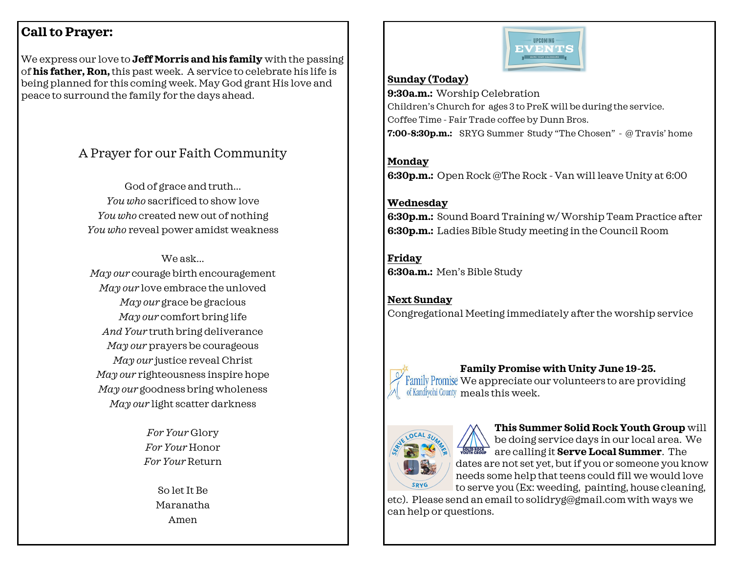### **Call to Prayer:**

We express our love to **Jeff Morris and his family** with the passing of **his father, Ron,** this past week. A service to celebrate his life is being planned for this coming week. May God grant His love and peace to surround the family for the days ahead.

## A Prayer for our Faith Community

God of grace and truth... *You who* sacrificed to show love *You who* created new out of nothing *You who* reveal power amidst weakness

We ask... *May our* courage birth encouragement *May our* love embrace the unloved *May our* grace be gracious *May our* comfort bring life *And Your* truth bring deliverance *May our* prayers be courageous *May our* justice reveal Christ *May our* righteousness inspire hope *May our* goodness bring wholeness *May our* light scatter darkness

> *For Your* Glory *For Your* Honor *For Your* Return

> > So let It Be Maranatha Amen



#### **Sunday (Today)**

**9:30a.m.:** Worship Celebration Children's Church for ages 3 to PreK will be during the service. Coffee Time - Fair Trade coffee by Dunn Bros. **7:00-8:30p.m.:** SRYG Summer Study "The Chosen" - @ Travis' home

**Monday 6:30p.m.:** Open Rock @The Rock - Van will leave Unity at 6:00

#### **Wednesday**

**6:30p.m.:** Sound Board Training w/ Worship Team Practice after **6:30p.m.:** Ladies Bible Study meeting in the Council Room

**Friday 6:30a.m.:** Men's Bible Study

**Next Sunday** Congregational Meeting immediately after the worship service



**Family Promise with Unity June 19-25.** 

Family Promise We appreciate our volunteers to are providing of Kandiyohi County meals this week.



**This Summer Solid Rock Youth Group** will be doing service days in our local area. We **ALLET ACCELLED IN SERVE LOCAL Summer.** The dates are not set yet, but if you or someone you know needs some help that teens could fill we would love to serve you (Ex: weeding, painting, house cleaning,

etc). Please send an email to solidryg@gmail.comwith ways we can help or questions.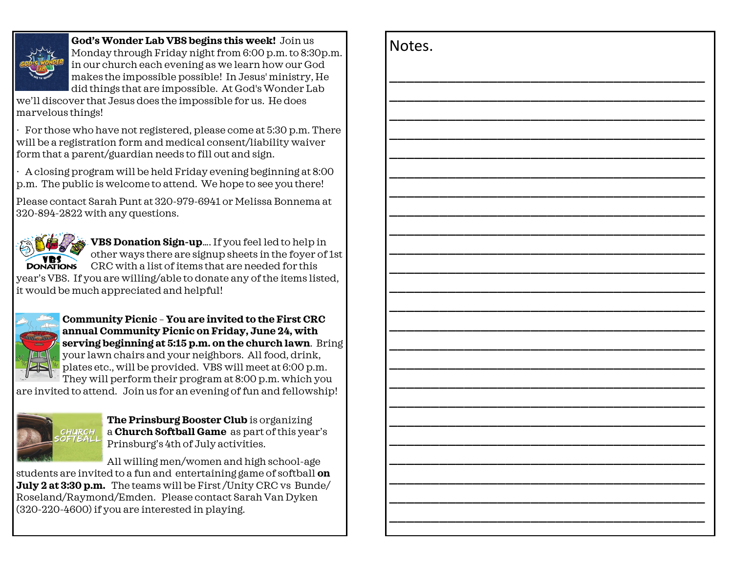

**God's Wonder Lab VBS begins this week!** Join us Monday through Friday night from 6:00 p.m. to 8:30p.m. in our church each evening as we learn how our God makes the impossible possible! In Jesus' ministry, He did things that are impossible. At God's Wonder Lab

we'll discover that Jesus does the impossible for us. He does marvelous things!

· For those who have not registered, please come at 5:30 p.m. There will be a registration form and medical consent/liability waiver form that a parent/guardian needs to fill out and sign.

· A closing program will be held Friday evening beginning at 8:00 p.m. The public is welcome to attend. We hope to see you there!

Please contact Sarah Punt at 320-979-6941 or Melissa Bonnema at 320-894-2822 with any questions.



**VBS Donation Sign-up**…. If you feel led to help in other ways there are signup sheets in the foyer of 1st **DONATIONS** CRC with a list of items that are needed for this year's VBS. If you are willing/able to donate any of the items listed, it would be much appreciated and helpful!



**Community Picnic** – **You are invited to the First CRC annual Community Picnic on Friday, June 24, with serving beginning at 5:15 p.m. on the church lawn**. Bring your lawn chairs and your neighbors. All food, drink, plates etc., will be provided. VBS will meet at 6:00 p.m. They will perform their program at 8:00 p.m. which you

are invited to attend. Join us for an evening of fun and fellowship!



**The Prinsburg Booster Club** is organizing a **Church Softball Game** as part of this year's Prinsburg's 4th of July activities.

All willing men/women and high school-age students are invited to a fun and entertaining game of softball **on July 2 at 3:30 p.m.** The teams will be First /Unity CRC vs Bunde/ Roseland/Raymond/Emden. Please contact Sarah Van Dyken (320-220-4600) if you are interested in playing.